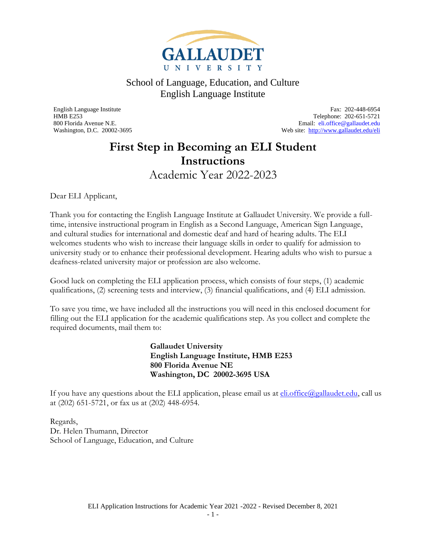

<span id="page-0-0"></span>English Language Institute Fax: 202-448-6954 HMB E253 Telephone: 202-651-5721 800 Florida Avenue N.E. Email: [eli.office@gallaudet.edu](mailto:eli.office@gallaudet.edu) Washington, D.C. 20002-3695 Web site:<http://www.gallaudet.edu/eli>

#### **First Step in Becoming an ELI Student Instructions** Academic Year 2022-2023

<span id="page-0-1"></span>Dear ELI Applicant,

Thank you for contacting the English Language Institute at Gallaudet University. We provide a fulltime, intensive instructional program in English as a Second Language, American Sign Language, and cultural studies for international and domestic deaf and hard of hearing adults. The ELI welcomes students who wish to increase their language skills in order to qualify for admission to university study or to enhance their professional development. Hearing adults who wish to pursue a deafness-related university major or profession are also welcome.

Good luck on completing the ELI application process, which consists of four steps, (1) academic qualifications, (2) screening tests and interview, (3) financial qualifications, and (4) ELI admission.

To save you time, we have included all the instructions you will need in this enclosed document for filling out the ELI application for the academic qualifications step. As you collect and complete the required documents, mail them to:

> **Gallaudet University English Language Institute, HMB E253 800 Florida Avenue NE Washington, DC 20002-3695 USA**

If you have any questions about the ELI application, please email us at *eli.office@gallaudet.edu*, call us at (202) 651-5721, or fax us at (202) 448-6954.

Regards, Dr. Helen Thumann, Director School of Language, Education, and Culture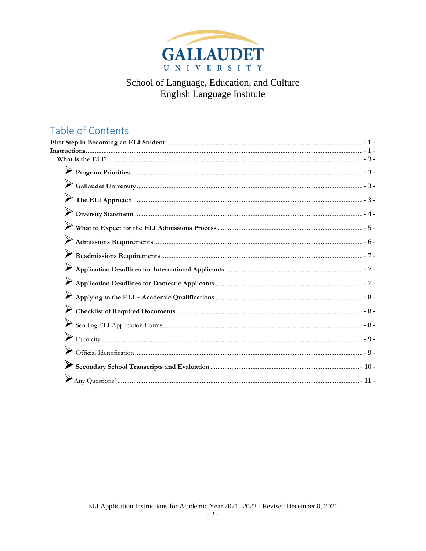

#### Table of Contents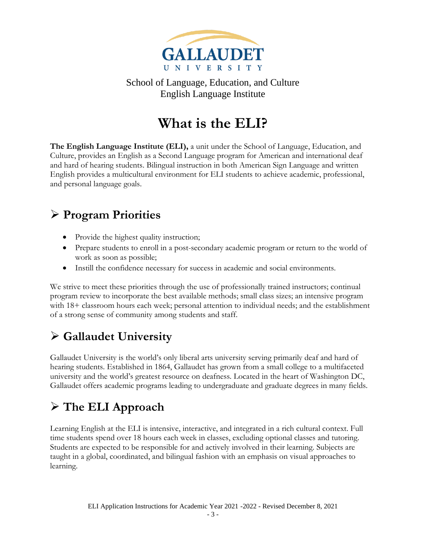

# **What is the ELI?**

<span id="page-2-0"></span>**The English Language Institute (ELI),** a unit under the School of Language, Education, and Culture, provides an English as a Second Language program for American and international deaf and hard of hearing students. Bilingual instruction in both American Sign Language and written English provides a multicultural environment for ELI students to achieve academic, professional, and personal language goals.

### <span id="page-2-1"></span>➢ **Program Priorities**

- Provide the highest quality instruction;
- Prepare students to enroll in a post-secondary academic program or return to the world of work as soon as possible;
- Instill the confidence necessary for success in academic and social environments.

We strive to meet these priorities through the use of professionally trained instructors; continual program review to incorporate the best available methods; small class sizes; an intensive program with 18+ classroom hours each week; personal attention to individual needs; and the establishment of a strong sense of community among students and staff.

## <span id="page-2-2"></span>➢ **Gallaudet University**

Gallaudet University is the world's only liberal arts university serving primarily deaf and hard of hearing students. Established in 1864, Gallaudet has grown from a small college to a multifaceted university and the world's greatest resource on deafness. Located in the heart of Washington DC, Gallaudet offers academic programs leading to undergraduate and graduate degrees in many fields.

# <span id="page-2-3"></span>➢ **The ELI Approach**

Learning English at the ELI is intensive, interactive, and integrated in a rich cultural context. Full time students spend over 18 hours each week in classes, excluding optional classes and tutoring. Students are expected to be responsible for and actively involved in their learning. Subjects are taught in a global, coordinated, and bilingual fashion with an emphasis on visual approaches to learning.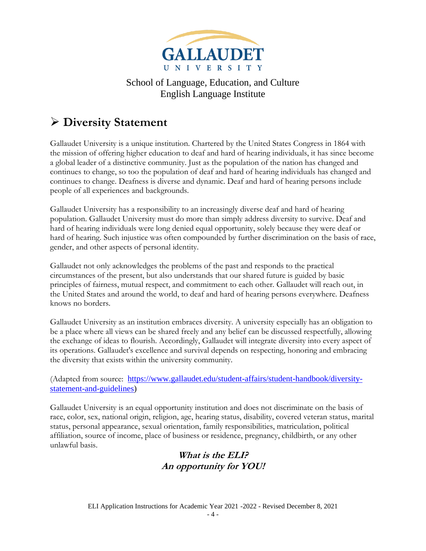

### <span id="page-3-0"></span>➢ **Diversity Statement**

Gallaudet University is a unique institution. Chartered by the United States Congress in 1864 with the mission of offering higher education to deaf and hard of hearing individuals, it has since become a global leader of a distinctive community. Just as the population of the nation has changed and continues to change, so too the population of deaf and hard of hearing individuals has changed and continues to change. Deafness is diverse and dynamic. Deaf and hard of hearing persons include people of all experiences and backgrounds.

Gallaudet University has a responsibility to an increasingly diverse deaf and hard of hearing population. Gallaudet University must do more than simply address diversity to survive. Deaf and hard of hearing individuals were long denied equal opportunity, solely because they were deaf or hard of hearing. Such injustice was often compounded by further discrimination on the basis of race, gender, and other aspects of personal identity.

Gallaudet not only acknowledges the problems of the past and responds to the practical circumstances of the present, but also understands that our shared future is guided by basic principles of fairness, mutual respect, and commitment to each other. Gallaudet will reach out, in the United States and around the world, to deaf and hard of hearing persons everywhere. Deafness knows no borders.

Gallaudet University as an institution embraces diversity. A university especially has an obligation to be a place where all views can be shared freely and any belief can be discussed respectfully, allowing the exchange of ideas to flourish. Accordingly, Gallaudet will integrate diversity into every aspect of its operations. Gallaudet's excellence and survival depends on respecting, honoring and embracing the diversity that exists within the university community.

(Adapted from source: [https://www.gallaudet.edu/student-affairs/student-handbook/diversity](https://www.gallaudet.edu/student-affairs/student-handbook/diversity-statement-and-guidelines)[statement-and-guidelines\)](https://www.gallaudet.edu/student-affairs/student-handbook/diversity-statement-and-guidelines)

Gallaudet University is an equal opportunity institution and does not discriminate on the basis of race, color, sex, national origin, religion, age, hearing status, disability, covered veteran status, marital status, personal appearance, sexual orientation, family responsibilities, matriculation, political affiliation, source of income, place of business or residence, pregnancy, childbirth, or any other unlawful basis.

#### **What is the ELI? An opportunity for YOU!**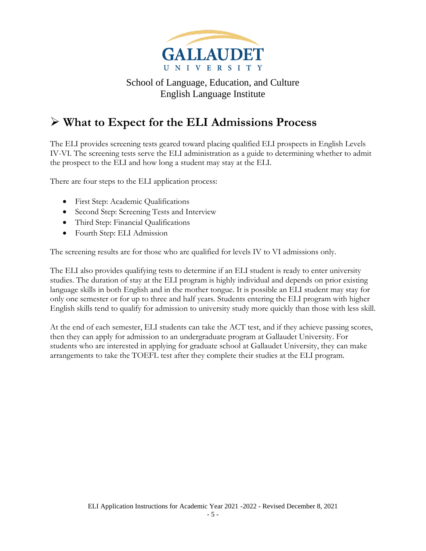

#### <span id="page-4-0"></span>➢ **What to Expect for the ELI Admissions Process**

The ELI provides screening tests geared toward placing qualified ELI prospects in English Levels IV-VI. The screening tests serve the ELI administration as a guide to determining whether to admit the prospect to the ELI and how long a student may stay at the ELI.

There are four steps to the ELI application process:

- First Step: Academic Qualifications
- Second Step: Screening Tests and Interview
- Third Step: Financial Qualifications
- Fourth Step: ELI Admission

The screening results are for those who are qualified for levels IV to VI admissions only.

The ELI also provides qualifying tests to determine if an ELI student is ready to enter university studies. The duration of stay at the ELI program is highly individual and depends on prior existing language skills in both English and in the mother tongue. It is possible an ELI student may stay for only one semester or for up to three and half years. Students entering the ELI program with higher English skills tend to qualify for admission to university study more quickly than those with less skill.

At the end of each semester, ELI students can take the ACT test, and if they achieve passing scores, then they can apply for admission to an undergraduate program at Gallaudet University. For students who are interested in applying for graduate school at Gallaudet University, they can make arrangements to take the TOEFL test after they complete their studies at the ELI program.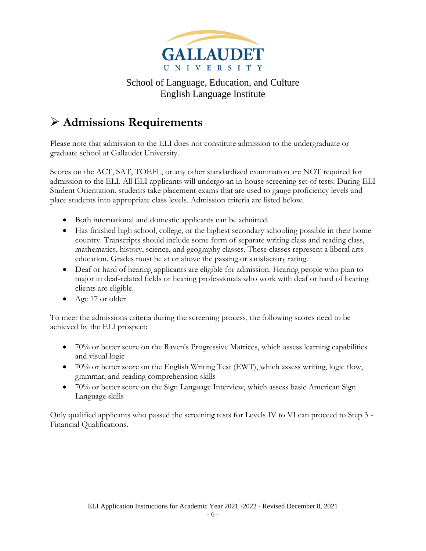

#### <span id="page-5-0"></span>➢ **Admissions Requirements**

Please note that admission to the ELI does not constitute admission to the undergraduate or graduate school at Gallaudet University.

Scores on the ACT, SAT, TOEFL, or any other standardized examination are NOT required for admission to the ELI. All ELI applicants will undergo an in-house screening set of tests. During ELI Student Orientation, students take placement exams that are used to gauge proficiency levels and place students into appropriate class levels. Admission criteria are listed below.

- Both international and domestic applicants can be admitted.
- Has finished high school, college, or the highest secondary schooling possible in their home country. Transcripts should include some form of separate writing class and reading class, mathematics, history, science, and geography classes. These classes represent a liberal arts education. Grades must be at or above the passing or satisfactory rating.
- Deaf or hard of hearing applicants are eligible for admission. Hearing people who plan to major in deaf-related fields or hearing professionals who work with deaf or hard of hearing clients are eligible.
- Age 17 or older

To meet the admissions criteria during the screening process, the following scores need to be achieved by the ELI prospect:

- 70% or better score on the Raven's Progressive Matrices, which assess learning capabilities and visual logic
- 70% or better score on the English Writing Test (EWT), which assess writing, logic flow, grammar, and reading comprehension skills
- 70% or better score on the Sign Language Interview, which assess basic American Sign Language skills

Only qualified applicants who passed the screening tests for Levels IV to VI can proceed to Step 3 - Financial Qualifications.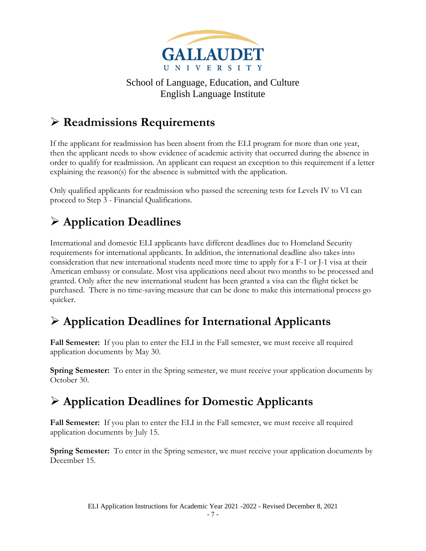

### <span id="page-6-0"></span>➢ **Readmissions Requirements**

If the applicant for readmission has been absent from the ELI program for more than one year, then the applicant needs to show evidence of academic activity that occurred during the absence in order to qualify for readmission. An applicant can request an exception to this requirement if a letter explaining the reason(s) for the absence is submitted with the application.

Only qualified applicants for readmission who passed the screening tests for Levels IV to VI can proceed to Step 3 - Financial Qualifications.

## ➢ **Application Deadlines**

International and domestic ELI applicants have different deadlines due to Homeland Security requirements for international applicants. In addition, the international deadline also takes into consideration that new international students need more time to apply for a F-1 or J-1 visa at their American embassy or consulate. Most visa applications need about two months to be processed and granted. Only after the new international student has been granted a visa can the flight ticket be purchased. There is no time-saving measure that can be done to make this international process go quicker.

### <span id="page-6-1"></span>➢ **Application Deadlines for International Applicants**

**Fall Semester:** If you plan to enter the ELI in the Fall semester, we must receive all required application documents by May 30.

**Spring Semester:** To enter in the Spring semester, we must receive your application documents by October 30.

### <span id="page-6-2"></span>➢ **Application Deadlines for Domestic Applicants**

**Fall Semester:** If you plan to enter the ELI in the Fall semester, we must receive all required application documents by July 15.

**Spring Semester:** To enter in the Spring semester, we must receive your application documents by December 15.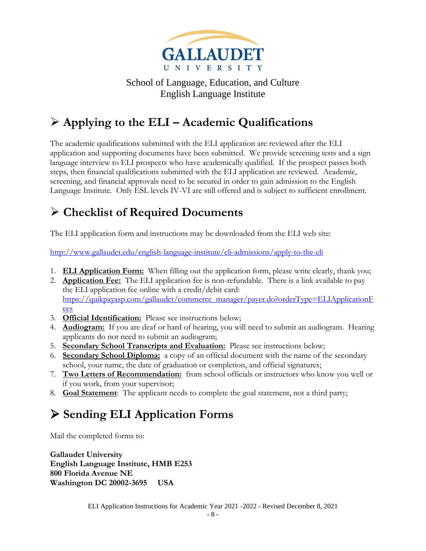

## <span id="page-7-0"></span>➢ **Applying to the ELI – Academic Qualifications**

The academic qualifications submitted with the ELI application are reviewed after the ELI application and supporting documents have been submitted. We provide screening tests and a sign language interview to ELI prospects who have academically qualified. If the prospect passes both steps, then financial qualifications submitted with the ELI application are reviewed. Academic, screening, and financial approvals need to be secured in order to gain admission to the English Language Institute. Only ESL levels IV-VI are still offered and is subject to sufficient enrollment.

### <span id="page-7-1"></span>➢ **Checklist of Required Documents**

The ELI application form and instructions may be downloaded from the ELI web site:

<http://www.gallaudet.edu/english-language-institute/eli-admissions/apply-to-the-eli>

- 1. **ELI Application Form:** When filling out the application form, please write clearly, thank you;
- 2. **Application Fee:** The ELI application fee is non-refundable. There is a link available to pay the ELI application fee online with a credit/debit card: [https://quikpayasp.com/gallaudet/commerce\\_manager/payer.do?orderType=ELIApplicationF](https://quikpayasp.com/gallaudet/commerce_manager/payer.do?orderType=ELIApplicationFees) [ees](https://quikpayasp.com/gallaudet/commerce_manager/payer.do?orderType=ELIApplicationFees)
- 3. **Official Identification:** Please see instructions below;
- 4. **Audiogram:** If you are deaf or hard of hearing, you will need to submit an audiogram. Hearing applicants do not need to submit an audiogram;
- 5. **Secondary School Transcripts and Evaluation:** Please see instructions below;
- 6. **Secondary School Diploma:** a copy of an official document with the name of the secondary school, your name, the date of graduation or completion, and official signatures;
- 7. **Two Letters of Recommendation:** from school officials or instructors who know you well or if you work, from your supervisor;
- 8. **Goal Statement**: The applicant needs to complete the goal statement, not a third party;

## <span id="page-7-2"></span>➢ **Sending ELI Application Forms**

Mail the completed forms to:

**Gallaudet University English Language Institute, HMB E253 800 Florida Avenue NE Washington DC 20002-3695 USA**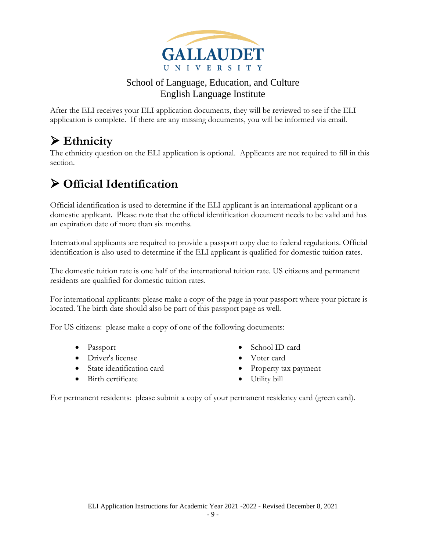

After the ELI receives your ELI application documents, they will be reviewed to see if the ELI application is complete. If there are any missing documents, you will be informed via email.

### <span id="page-8-0"></span>➢ **Ethnicity**

The ethnicity question on the ELI application is optional. Applicants are not required to fill in this section.

### <span id="page-8-1"></span>➢ **Official Identification**

Official identification is used to determine if the ELI applicant is an international applicant or a domestic applicant. Please note that the official identification document needs to be valid and has an expiration date of more than six months.

International applicants are required to provide a passport copy due to federal regulations. Official identification is also used to determine if the ELI applicant is qualified for domestic tuition rates.

The domestic tuition rate is one half of the international tuition rate. US citizens and permanent residents are qualified for domestic tuition rates.

For international applicants: please make a copy of the page in your passport where your picture is located. The birth date should also be part of this passport page as well.

For US citizens: please make a copy of one of the following documents:

- Passport
- Driver's license
- State identification card
- Birth certificate
- School ID card
- Voter card
- Property tax payment
- Utility bill

For permanent residents: please submit a copy of your permanent residency card (green card).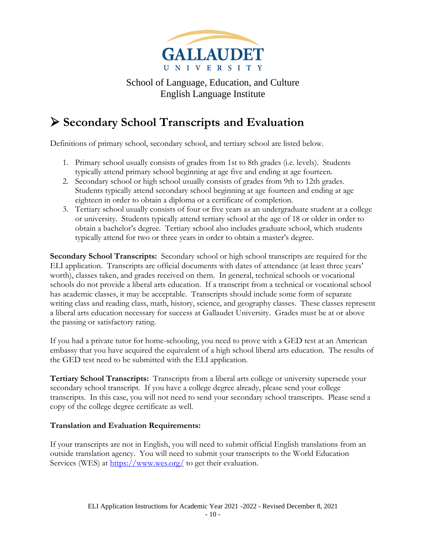

### <span id="page-9-0"></span>➢ **Secondary School Transcripts and Evaluation**

Definitions of primary school, secondary school, and tertiary school are listed below.

- 1. Primary school usually consists of grades from 1st to 8th grades (i.e. levels). Students typically attend primary school beginning at age five and ending at age fourteen.
- 2. Secondary school or high school usually consists of grades from 9th to 12th grades. Students typically attend secondary school beginning at age fourteen and ending at age eighteen in order to obtain a diploma or a certificate of completion.
- 3. Tertiary school usually consists of four or five years as an undergraduate student at a college or university. Students typically attend tertiary school at the age of 18 or older in order to obtain a bachelor's degree. Tertiary school also includes graduate school, which students typically attend for two or three years in order to obtain a master's degree.

**Secondary School Transcripts:** Secondary school or high school transcripts are required for the ELI application. Transcripts are official documents with dates of attendance (at least three years' worth), classes taken, and grades received on them. In general, technical schools or vocational schools do not provide a liberal arts education. If a transcript from a technical or vocational school has academic classes, it may be acceptable. Transcripts should include some form of separate writing class and reading class, math, history, science, and geography classes. These classes represent a liberal arts education necessary for success at Gallaudet University. Grades must be at or above the passing or satisfactory rating.

If you had a private tutor for home-schooling, you need to prove with a GED test at an American embassy that you have acquired the equivalent of a high school liberal arts education. The results of the GED test need to be submitted with the ELI application.

**Tertiary School Transcripts:** Transcripts from a liberal arts college or university supersede your secondary school transcript. If you have a college degree already, please send your college transcripts. In this case, you will not need to send your secondary school transcripts. Please send a copy of the college degree certificate as well.

#### **Translation and Evaluation Requirements:**

If your transcripts are not in English, you will need to submit official English translations from an outside translation agency. You will need to submit your transcripts to the World Education Services (WES) at<https://www.wes.org/> to get their evaluation.